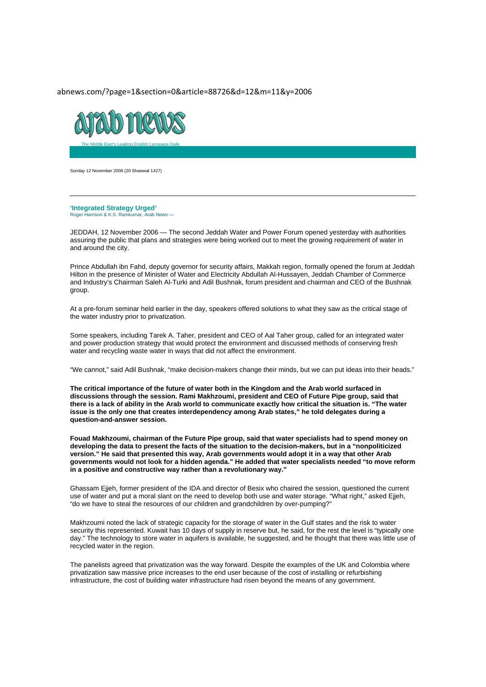abnews.com/?page=1&section=0&article=88726&d=12&m=11&y=2006



Sunday 12 November 2006 (20 Shawwal 1427)

**'Integrated Strategy Urged'**  Roger Harrison & K.S. Ramkumar, Arab News —

JEDDAH, 12 November 2006 — The second Jeddah Water and Power Forum opened yesterday with authorities assuring the public that plans and strategies were being worked out to meet the growing requirement of water in and around the city.

Prince Abdullah ibn Fahd, deputy governor for security affairs, Makkah region, formally opened the forum at Jeddah Hilton in the presence of Minister of Water and Electricity Abdullah Al-Hussayen, Jeddah Chamber of Commerce and Industry's Chairman Saleh Al-Turki and Adil Bushnak, forum president and chairman and CEO of the Bushnak group.

At a pre-forum seminar held earlier in the day, speakers offered solutions to what they saw as the critical stage of the water industry prior to privatization.

Some speakers, including Tarek A. Taher, president and CEO of Aal Taher group, called for an integrated water and power production strategy that would protect the environment and discussed methods of conserving fresh water and recycling waste water in ways that did not affect the environment.

"We cannot," said Adil Bushnak, "make decision-makers change their minds, but we can put ideas into their heads."

**The critical importance of the future of water both in the Kingdom and the Arab world surfaced in discussions through the session. Rami Makhzoumi, president and CEO of Future Pipe group, said that there is a lack of ability in the Arab world to communicate exactly how critical the situation is. "The water issue is the only one that creates interdependency among Arab states," he told delegates during a question-and-answer session.** 

**Fouad Makhzoumi, chairman of the Future Pipe group, said that water specialists had to spend money on developing the data to present the facts of the situation to the decision-makers, but in a "nonpoliticized version." He said that presented this way, Arab governments would adopt it in a way that other Arab governments would not look for a hidden agenda." He added that water specialists needed "to move reform in a positive and constructive way rather than a revolutionary way."** 

Ghassam Ejjeh, former president of the IDA and director of Besix who chaired the session, questioned the current use of water and put a moral slant on the need to develop both use and water storage. "What right," asked Ejjeh, "do we have to steal the resources of our children and grandchildren by over-pumping?"

Makhzoumi noted the lack of strategic capacity for the storage of water in the Gulf states and the risk to water security this represented. Kuwait has 10 days of supply in reserve but, he said, for the rest the level is "typically one day." The technology to store water in aquifers is available, he suggested, and he thought that there was little use of recycled water in the region.

The panelists agreed that privatization was the way forward. Despite the examples of the UK and Colombia where privatization saw massive price increases to the end user because of the cost of installing or refurbishing infrastructure, the cost of building water infrastructure had risen beyond the means of any government.